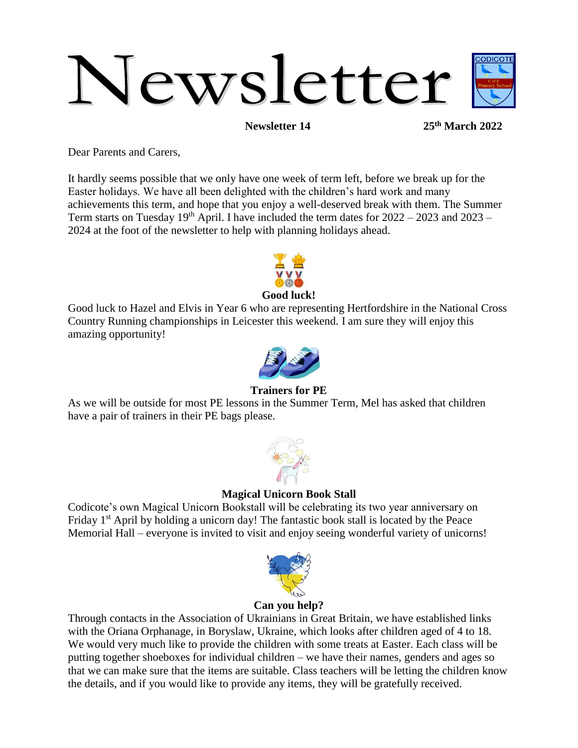# Newsletter

**Newsletter 14 25th March 2022**

Dear Parents and Carers,

It hardly seems possible that we only have one week of term left, before we break up for the Easter holidays. We have all been delighted with the children's hard work and many achievements this term, and hope that you enjoy a well-deserved break with them. The Summer Term starts on Tuesday  $19<sup>th</sup>$  April. I have included the term dates for  $2022 - 2023$  and  $2023 -$ 2024 at the foot of the newsletter to help with planning holidays ahead.



**Good luck!**

Good luck to Hazel and Elvis in Year 6 who are representing Hertfordshire in the National Cross Country Running championships in Leicester this weekend. I am sure they will enjoy this amazing opportunity!



# **Trainers for PE**

As we will be outside for most PE lessons in the Summer Term, Mel has asked that children have a pair of trainers in their PE bags please.



#### **Magical Unicorn Book Stall**

Codicote's own Magical Unicorn Bookstall will be celebrating its two year anniversary on Friday  $1<sup>st</sup>$  April by holding a unicorn day! The fantastic book stall is located by the Peace Memorial Hall – everyone is invited to visit and enjoy seeing wonderful variety of unicorns!



#### **Can you help?**

Through contacts in the Association of Ukrainians in Great Britain, we have established links with the Oriana Orphanage, in Boryslaw, Ukraine, which looks after children aged of 4 to 18. We would very much like to provide the children with some treats at Easter. Each class will be putting together shoeboxes for individual children – we have their names, genders and ages so that we can make sure that the items are suitable. Class teachers will be letting the children know the details, and if you would like to provide any items, they will be gratefully received.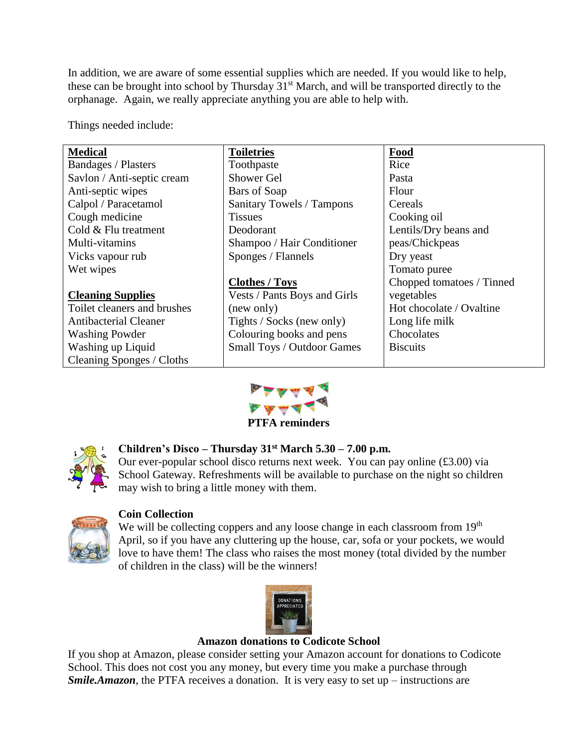In addition, we are aware of some essential supplies which are needed. If you would like to help, these can be brought into school by Thursday 31<sup>st</sup> March, and will be transported directly to the orphanage. Again, we really appreciate anything you are able to help with.

Things needed include:

| <b>Medical</b>               | <b>Toiletries</b>                | Food                      |
|------------------------------|----------------------------------|---------------------------|
| <b>Bandages / Plasters</b>   | Toothpaste                       | Rice                      |
| Savlon / Anti-septic cream   | Shower Gel                       | Pasta                     |
| Anti-septic wipes            | Bars of Soap                     | Flour                     |
| Calpol / Paracetamol         | <b>Sanitary Towels / Tampons</b> | Cereals                   |
| Cough medicine               | <b>Tissues</b>                   | Cooking oil               |
| Cold & Flu treatment         | Deodorant                        | Lentils/Dry beans and     |
| Multi-vitamins               | Shampoo / Hair Conditioner       | peas/Chickpeas            |
| Vicks vapour rub             | Sponges / Flannels               | Dry yeast                 |
| Wet wipes                    |                                  | Tomato puree              |
|                              | <b>Clothes / Toys</b>            | Chopped tomatoes / Tinned |
| <b>Cleaning Supplies</b>     | Vests / Pants Boys and Girls     | vegetables                |
| Toilet cleaners and brushes  | (new only)                       | Hot chocolate / Ovaltine  |
| <b>Antibacterial Cleaner</b> | Tights / Socks (new only)        | Long life milk            |
| <b>Washing Powder</b>        | Colouring books and pens         | Chocolates                |
| Washing up Liquid            | Small Toys / Outdoor Games       | <b>Biscuits</b>           |
| Cleaning Sponges / Cloths    |                                  |                           |



**PTFA reminders**



# **Children's Disco – Thursday 31st March 5.30 – 7.00 p.m.**

Our ever-popular school disco returns next week. You can pay online (£3.00) via School Gateway. Refreshments will be available to purchase on the night so children may wish to bring a little money with them.



# **Coin Collection**

We will be collecting coppers and any loose change in each classroom from 19<sup>th</sup> April, so if you have any cluttering up the house, car, sofa or your pockets, we would love to have them! The class who raises the most money (total divided by the number of children in the class) will be the winners!



#### **Amazon donations to Codicote School**

If you shop at Amazon, please consider setting your Amazon account for donations to Codicote School. This does not cost you any money, but every time you make a purchase through *Smile.Amazon*, the PTFA receives a donation. It is very easy to set up – instructions are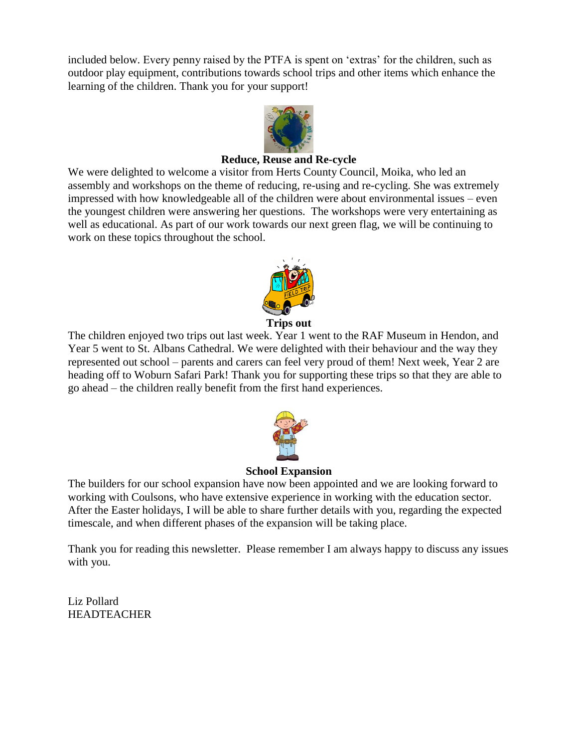included below. Every penny raised by the PTFA is spent on 'extras' for the children, such as outdoor play equipment, contributions towards school trips and other items which enhance the learning of the children. Thank you for your support!



### **Reduce, Reuse and Re-cycle**

We were delighted to welcome a visitor from Herts County Council, Moika, who led an assembly and workshops on the theme of reducing, re-using and re-cycling. She was extremely impressed with how knowledgeable all of the children were about environmental issues – even the youngest children were answering her questions. The workshops were very entertaining as well as educational. As part of our work towards our next green flag, we will be continuing to work on these topics throughout the school.



The children enjoyed two trips out last week. Year 1 went to the RAF Museum in Hendon, and Year 5 went to St. Albans Cathedral. We were delighted with their behaviour and the way they represented out school – parents and carers can feel very proud of them! Next week, Year 2 are heading off to Woburn Safari Park! Thank you for supporting these trips so that they are able to go ahead – the children really benefit from the first hand experiences.



#### **School Expansion**

The builders for our school expansion have now been appointed and we are looking forward to working with Coulsons, who have extensive experience in working with the education sector. After the Easter holidays, I will be able to share further details with you, regarding the expected timescale, and when different phases of the expansion will be taking place.

Thank you for reading this newsletter. Please remember I am always happy to discuss any issues with you.

Liz Pollard HEADTEACHER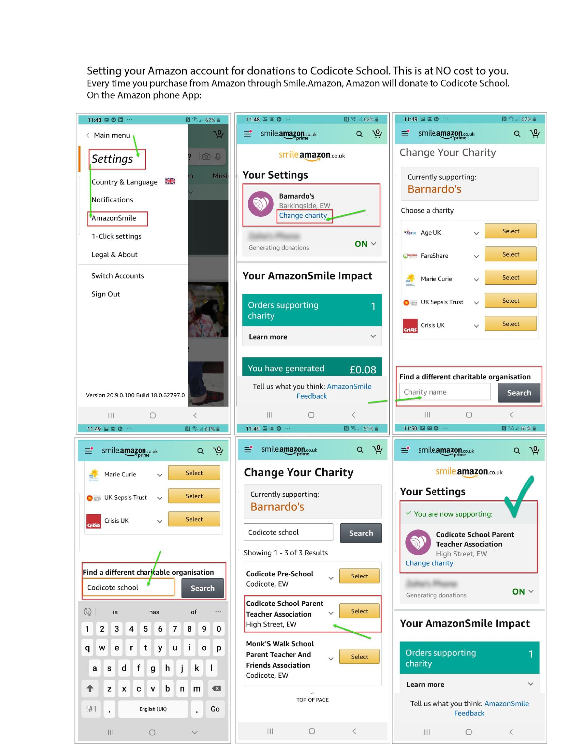Setting your Amazon account for donations to Codicote School. This is at NO cost to you. Every time you purchase from Amazon through Smile.Amazon, Amazon will donate to Codicote School. On the Amazon phone App: